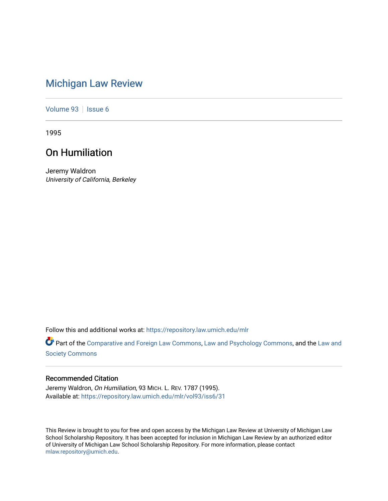# [Michigan Law Review](https://repository.law.umich.edu/mlr)

[Volume 93](https://repository.law.umich.edu/mlr/vol93) | [Issue 6](https://repository.law.umich.edu/mlr/vol93/iss6)

1995

## On Humiliation

Jeremy Waldron University of California, Berkeley

Follow this and additional works at: [https://repository.law.umich.edu/mlr](https://repository.law.umich.edu/mlr?utm_source=repository.law.umich.edu%2Fmlr%2Fvol93%2Fiss6%2F31&utm_medium=PDF&utm_campaign=PDFCoverPages) 

Part of the [Comparative and Foreign Law Commons,](http://network.bepress.com/hgg/discipline/836?utm_source=repository.law.umich.edu%2Fmlr%2Fvol93%2Fiss6%2F31&utm_medium=PDF&utm_campaign=PDFCoverPages) [Law and Psychology Commons,](http://network.bepress.com/hgg/discipline/870?utm_source=repository.law.umich.edu%2Fmlr%2Fvol93%2Fiss6%2F31&utm_medium=PDF&utm_campaign=PDFCoverPages) and the [Law and](http://network.bepress.com/hgg/discipline/853?utm_source=repository.law.umich.edu%2Fmlr%2Fvol93%2Fiss6%2F31&utm_medium=PDF&utm_campaign=PDFCoverPages) [Society Commons](http://network.bepress.com/hgg/discipline/853?utm_source=repository.law.umich.edu%2Fmlr%2Fvol93%2Fiss6%2F31&utm_medium=PDF&utm_campaign=PDFCoverPages)

### Recommended Citation

Jeremy Waldron, On Humiliation, 93 MICH. L. REV. 1787 (1995). Available at: [https://repository.law.umich.edu/mlr/vol93/iss6/31](https://repository.law.umich.edu/mlr/vol93/iss6/31?utm_source=repository.law.umich.edu%2Fmlr%2Fvol93%2Fiss6%2F31&utm_medium=PDF&utm_campaign=PDFCoverPages) 

This Review is brought to you for free and open access by the Michigan Law Review at University of Michigan Law School Scholarship Repository. It has been accepted for inclusion in Michigan Law Review by an authorized editor of University of Michigan Law School Scholarship Repository. For more information, please contact [mlaw.repository@umich.edu.](mailto:mlaw.repository@umich.edu)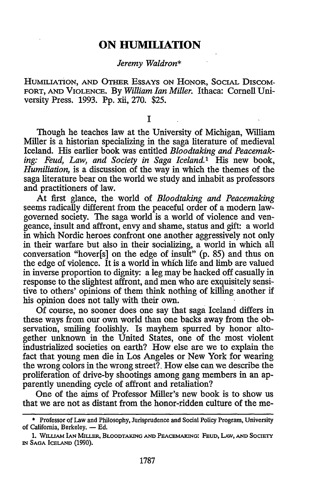### **ON HUMILIATION**

#### *Jeremy Waldron\**

HUMILIATION, AND OTHER ESSAYS ON HONOR, SOCIAL DISCOM-FORT, AND VIOLENCE. By *William Ian Miller.* Ithaca: Cornell University Press. 1993. Pp. xii, 270. \$25.

I

Though he teaches law at the University of Michigan, William Miller is a historian specializing in the saga literature of medieval Iceland. His earlier book was entitled *Bloodtaking and Peacemaking: Feud, Law, and Society in Saga Iceland.*<sup>1</sup> His new book, *Humiliation,* is a discussion of the way in which the themes of the saga literature bear on the world we study and inhabit as professors and practitioners of law.

At first glance, the world of *Bloodtaking and Peacemaking*  seems radically different from the peaceful order of a modem lawgovemed society. The saga world is a world of violence and vengeance, insult and affront, envy and shame, status and gift: a world in which Nordic heroes confront one another aggressively not only in their warfare but also in their socializing, a world in which all conversation "hover[s] on the edge of insult" (p. 85) and thus on the edge of violence. It is a world in which life and limb are valued in inverse proportion to dignity: a leg may be hacked off casually in response to the slightest affront, and men who are exquisitely sensitive to others' opinions of them think nothing of killing another if his opinion does not tally with their own.

Of course, no sooner does one say that saga Iceland differs in these ways from our own world than one backs away from the observation, smiling foolishly. Is mayhem spurred by honor altogether unknown in the United States, one of the most violent industrialized societies on earth? How else are we to explain the fact that young men die in Los Angeles or New York for wearing the wrong colors in the wrong street?. How else can we describe the proliferation of drive-by shootings among gang members in an apparently unending cycle of affront and retaliation?

One of the aims of Professor Miller's new book is to show us that we are not as distant from the honor-ridden culture of the me-

<sup>\*</sup> Professor of Law and Philosophy, Jurisprudence and Social Policy Program, University of California, Berkeley. - Ed.

<sup>1.</sup> WILUAM IAN MilLER, BLOODTAKING AND PEACEMAKING: FEUD, LAW, AND SOCIETY IN SAGA ICELAND (1990).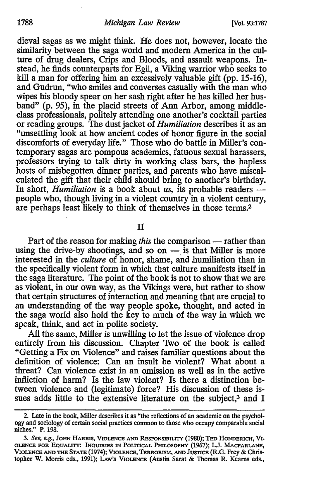#### 1788 *Michigan Law Review* [Vol. 93:1787

dieval sagas as we might think. He does not, however, locate the similarity between the saga world and modem America in the culture of drug dealers, Crips and Bloods, and assault weapons. Instead, he finds counterparts for Egil, a Viking warrior who seeks to kill a man for offering him an excessively valuable gift (pp. 15-16), and Gudrun, "who smiles and converses casually with the man who wipes his bloody spear on her sash right after he has killed her husband" (p. 95), in the placid streets of Ann Arbor, among middleclass professionals, politely attending one another's cocktail parties or reading groups. The dust jacket of *Humiliation* describes it as an "unsettling look at how ancient codes of honor figure in the social discomforts of everyday life." Those who do battle in Miller's contemporary sagas are pompous academics, fatuous sexual harassers, professors trying to talk dirty in working class bars, the hapless hosts of misbegotten dinner parties, and parents who have miscalculated the gift that their child should bring to another's birthday. In short, *Humiliation* is a book about *us*, its probable readers people who, though living in a violent country in a violent century, are perhaps least likely to think of themselves in those terms.<sup>2</sup>

II

Part of the reason for making *this* the comparison - rather than using the drive-by shootings, and so on  $-$  is that Miller is more interested in the *culture* of honor, shame, and humiliation than in the specifically violent form in which that culture manifests itself in the saga literature. The point of the book is not to show that we are as violent, in our own way, as the Vikings were, but rather to show that certain structures of interaction and meaning that are crucial to an understanding of the way people spoke, thought, and acted in the saga world also hold the key to much of the way in which we speak, think, and act in polite society.

All the same, Miller is unwilling to let the issue of violence drop entirely from his discussion. Chapter Two of the book is called "Getting a Fix on Violence" and raises familiar questions about the definition of violence: Can an insult be violent? What about a threat? Can violence exist in an omission as well as in the active infliction of harm? Is the law violent? Is there a distinction between violence and (legitimate) force? His discussion of these issues adds little to the extensive literature on the subject,<sup>3</sup> and I

<sup>2.</sup> Late in the book, Miller describes it as "the reflections of an academic on the psychology and sociology of certain social practices common to those who occupy comparable social niches." P. 198.

<sup>3.</sup> *See, e.g.,* JoHN HAruus, VIOLENCE AND REsP0Nsm1urr (1980); TED HoNDERICH, V1. OLENCE FOR EQUALITY: INQUIRIES JN POUTICAL PHILOSOPHY (1967); LJ. MACFARLANE, VIOLENCE AND THE STATE (1974); VIOLENCE, TERRORISM, AND JUSTICE (R.G. Frey & Christopher W. Morris eds., 1991); LAw's VIOLENCE (Austin Sarat & Thomas R. Kearns eds.,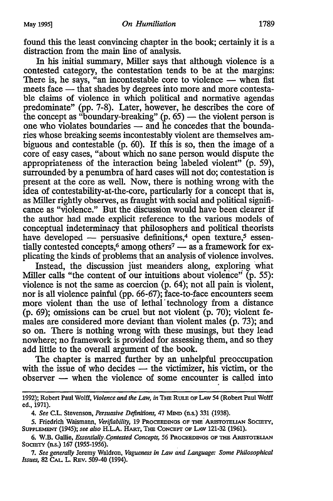found this the least convincing chapter in the book; certainly it is a distraction from the main line of analysis.

In his initial summary, Miller says that although violence is a contested category, the contestation tends to be at the margins: There is, he says, "an incontestable core to violence  $-$  when fist meets face — that shades by degrees into more and more contestable claims of violence in which political and normative agendas predominate" (pp. 7-8). Later, however, he describes the core of the concept as "boundary-breaking"  $(p. 65)$  — the violent person is one who violates boundaries - and he concedes that the boundaries whose breaking seems incontestably violent are themselves ambiguous and contestable  $(p. 60)$ . If this is so, then the image of a core of easy cases, "about which no sane person would dispute the appropriateness of the interaction being labeled violent" {p. 59), surrounded by a penumbra of hard cases will not do; contestation is present at the core as well. Now, there is nothing wrong with the idea of contestability-at-the-core, particularly for a concept that is, as Miller rightly observes, as fraught with social and political significance as "violence." But the discussion would have been clearer if the author had made explicit reference to the various models of conceptual indeterminacy that philosophers and political theorists have developed  $-$  persuasive definitions,<sup>4</sup> open texture,<sup>5</sup> essentially contested concepts,<sup>6</sup> among others<sup>7</sup> - as a framework for explicating the kinds of problems, that an analysis of violence involves.

Instead, the discussion just meanders along, exploring what Miller calls "the content of our intuitions about violence"  $(p. 55)$ : violence is not the same as coercion (p. 64); not all pain is violent, nor is all violence painful (pp. 66-67); face-to-face encounters seem more violent than the use of lethal technology from a distance (p. 69); omissions can be cruel but not violent  $(p. 70)$ ; violent females are considered more deviant than violent males (p. 73); and so on. There is nothing wrong with these musings, but they lead nowhere; no framework is provided for assessing them, and so they add little to the overall argument of the book.

The chapter is marred further by an unhelpful preoccupation with the issue of who decides  $-$  the victimizer, his victim, or the  $observer$  — when the violence of some encounter is called into

7. *See generally* Jeremy Waldron, *Vagueness in Law and Language: Some Philosophical Issues,* 82 CAL. L. REv. 509-40 (1994).

<sup>1992);</sup> Robert Paul Wolff, *Violence* and *the* Law, *in* THE RuLE OF LAw 54 (Robert Paul Wolff ed., 1971).

<sup>4.</sup> *See* C.L. Stevenson, *Persuasive Definitions,* 47 MIND (n.s.) 331 (1938).

*<sup>5.</sup>* Friedrich ·waismann, *Verifiability,* 19 PROCEEDINGS OF THE. AiusroTEUAN SOCIETY, SUPPLEMENT {1945); *see also* H.L.A. HART, THE CONCEPT OF LAW 121-32 (1961).

<sup>6.</sup> W.B. Gallie, *Essentially Contested Concepts*, 56 PROCEEDINGS OF THE ARISTOTELIAN SOCIETY (n.s.) 167 {1955-1956).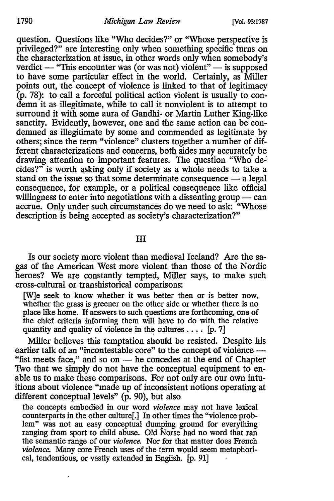1790 *Michigan Law Review* (Vol. 93:1787

question. Questions like "Who decides?" or "Whose perspective is privileged?" are interesting only when something specific turns on the characterization at issue, in other words only when somebody's verdict  $-$  "This encounter was (or was not) violent"  $-$  is supposed to have some particular effect in the world. Certainly, as Miller points out, the concept of violence is linked to that of legitimacy  $(p. 78)$ : to call a forceful political action violent is usually to condemn it as illegitimate, while to call it nonviolent is to attempt to surround it with some aura of Gandhi- or Martin Luther King-like sanctity. Evidently, however, one and the same action can be condemned as illegitimate by some and commended as legitimate by others; since the term "violence" clusters together a number of different characterizations and concerns, both sides may accurately be drawing attention to important features. The question "Who decides?" is worth asking only if society as a whole needs to take a stand on the issue so that some determinate consequence  $-$  a legal consequence, for example, or a political consequence like official willingness to enter into negotiations with a dissenting group  $-$  can accrue. Only under such circumstances do we need to ask: "Whose description is being accepted as society's characterization?"

III

Is our society more violent than medieval Iceland? Are the sagas of the American West more violent than those of the Nordic heroes? We are constantly tempted, Miller says, to make such cross-cultural or transhistorical comparisons:

[W]e seek to know whether it was better then or is better now, whether the grass is greener on the other side or whether there is no place like home. If answers to such questions are forthcoming, one of the chief criteria informing them will have to do with the relative quantity and quality of violence in the cultures  $\dots$  [p. 7]

Miller believes this temptation should be resisted. Despite his earlier talk of an "incontestable core" to the concept of violence — "fist meets face," and so on  $-$  he concedes at the end of Chapter Two that we simply do not have the conceptual equipment to enable us to make these comparisons. For not only are our own intuitions about violence "made up of inconsistent notions operating at different conceptual levels" (p. 90), but also

the concepts embodied in our word *violence* may not have lexical counterparts in the other culture[.] In other times the "violence problem" was not an easy conceptual dumping ground for everything ranging from sport to child abuse. Old Norse had no word that ran the semantic range of our *violence.* Nor for that matter does French *violence.* Many core French uses of the term would seem metaphorical, tendentious, or vastly extended in English. [p. 91]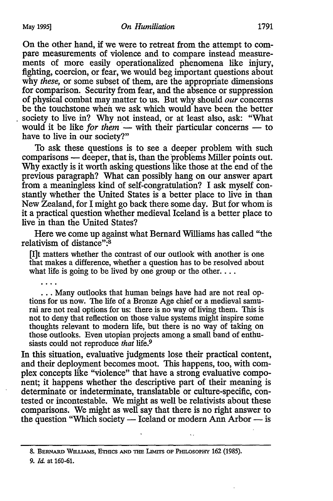On the other hand, if we were to retreat from the attempt to compare measurements of violence and to compare instead measurements of more easily operationalized phenomena like injury, fighting, coercion, or fear, we would beg important questions about why *these,* or some subset of them, are the appropriate dimensions for comparison. Security from fear, and the absence or suppression of physical combat may matter to us. But why should *our* concerns be the touchstone when we ask which would have been the better . society to live in? Why not instead, or at least also, ask: "What would it be like *for them* — with their particular concerns — to have to live in our society?"

To ask these questions is to see a deeper problem with such comparisons — deeper, that is, than the problems Miller points out. Why exactly is it worth asking questions like those at the end of the previous paragraph? What can possibly hang on our answer apart from a meaningless kind of self-congratulation? I ask myself constantly whether the United States is a better place to live in than New Zealand, for I might go back there some day. But for whom is it a practical question whether medieval Iceland is a better place to live in than the United States?

Here we come up against what Bernard Williams has called "the relativism of distance":<sup>8</sup>

[I]t matters whether the contrast of our outlook with another is one that makes a difference, whether a question has to be resolved about what life is going to be lived by one group or the other....

. . . Many outlooks that human beings have had are not real options for us now. The life of a Bronze Age chief or a medieval samurai are not real options for us: there is no way of living them. This is not to deny that reflection on those value systems might inspire some thoughts relevant to modem life, but there is no way of taking on those outlooks. Even utopian projects among a small band of enthusiasts could not reproduce *that* life.9

In this situation, evaluative judgments lose their practical content, and their deployment becomes moot. This happens, too, with complex concepts like "violence" that have a strong evaluative component; it happens whether the descriptive part of their meaning is determinate or indeterminate, translatable or culture-specific, contested or incontestable. We might as well be relativists about these comparisons. We might as well say that there is no right answer to the question "Which society  $-$  Iceland or modern Ann Arbor  $-$  is

9. *Id.* at 160-61.

<sup>8.</sup> BERNARD WILLIAMS, ETHICS AND THE LIMITS OF PHILOSOPHY 162 (1985).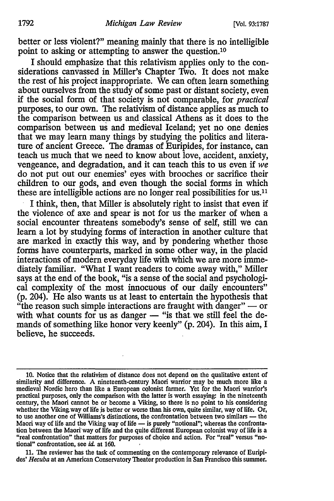better or less violent?" meaning mainly that there is no intelligible point to asking or attempting to answer the question.10

I should emphasize that this relativism applies only to the considerations canvassed in Miller's Chapter Two. It does not make the rest of his project inappropriate. We can often learn something about ourselves from the study of some past or distant society, even if the social form of that society is not comparable, for *practical*  purposes, to our own. The relativism of distance applies as much to the comparison between us and classical Athens as it does to the comparison between us and medieval Iceland; yet no one denies that we may learn many things by studying the politics and literature of ancient Greece. The dramas of Euripides, for instance, can teach us much that we need to know about love, accident, anxiety, vengeance, and degradation, and it can teach this to us even if *we*  do not put out our enemies' eyes with brooches or sacrifice their children to our gods, and even though the social forms in which these are intelligible actions are no longer real possibilities for us.11

I think, then, that Miller is absolutely right to insist that even if the violence of axe and spear is not for us the marker of when a social encounter threatens somebody's sense of self, still we can learn a lot by studying forms of interaction in another culture that are marked in exactly this way, and by pondering whether those forms have counterparts, marked in some other way, in the placid interactions of modem everyday life with which we are more immediately familiar. "What I want readers to come away with," Miller says at the end of the book, "is a sense of the social and psychological complexity of the most innocuous of our daily encounters" (p. 204). He also wants us at least to entertain the hypothesis that "the reason such simple interactions are fraught with danger"  $-$  or with what counts for us as danger - "is that we still feel the demands of something like honor very keenly" (p. 204). In this aim, I believe, he succeeds.

11. The reviewer has the task of commenting on the contemporary relevance of Euripides' *Hecuba* at an American Conservatory Theater production in San Francisco this summer.

<sup>10.</sup> Notice that the relativism of distance does not depend on the qualitative extent of similarity and difference. A nineteenth-century Maori warrior may be much more like a medieval Nordic hero than like a European colonist farmer. Yet for the Maori warrior's practical purposes, only the comparison with the latter is worth essaying: in the nineteenth century, the Maori cannot be or become a Viking, so there is no point to his considering whether the Viking way of life is better or worse than his own, quite similar, way of life. Or, to use another one of Williams's distinctions, the confrontation between two similars  $-$  the Maori way of life and the Viking way of life - is purely "notional"; whereas the confrontation between the Maori' way of life and the quite different European colonist way of life is a "real confrontation" that matters for purposes of choice and action. For "real" versus "notional" confrontation, see id. at 160.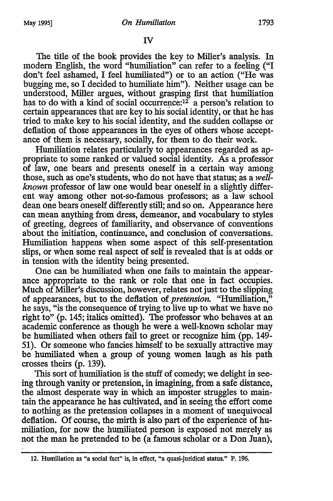The title of the book provides the key to Miller's analysis. In modem English, the word "humiliation" can refer to a feeling ("I don't feel ashamed, I feel humiliated") or to an action ("He was bugging me, so I decided to humiliate him"). Neither usage can be understood, Miller argues, without grasping first that humiliation has to do with a kind of social occurrence:  $12$  a person's relation to certain appearances that are key to his social identity, or that he has tried to make key to his social identity, and the sudden collapse or deflation of those appearances in the eyes of others whose acceptance of them is necessary, socially, for them to do their work.

Humiliation relates particularly to appearances regarded as appropriate to some ranked or valued social identity. As a professor of law, one bears and presents oneself in a certain way among those, such as one's students, who do not have that status; as a *wellknown* professor of law one would bear oneself in a slightly different way among other not-so-famous professors; as a law school dean one bears oneself differently still; and so on. Appearance here can mean anything from dress, demeanor, and vocabulary to styles of greeting, degrees of familiarity, and observance of conventions about the initiation, continuance, and conclusion of conversations. Humiliation happens when some aspect of this self-presentation slips, or when some real aspect of self is revealed that is at odds.or in tension with the identity being presented.

One can be humiliated when one fails to maintain the appearance appropriate to the rank or role that one in fact occupies. Much of Miller's discussion, however, relates not just to the slipping of appearances, but to the deflation of *pretension.* "Humiliation," he says, "is the consequence of trying to live up to what we have no right to" (p. 145; italics omitted). The' professor who behaves at an academic conference as though he were a well-known scholar may be humiliated when others fail to greet or recognize him (pp. 149- 51 ). Or someone who fancies himself to be sexually attractive may be humiliated when a group of young women laugh as his path crosses theirs (p. 139).

This sort of humiliation is the stuff of comedy; we delight in seeing through vanity or pretension, in imagining, from a safe distance, the almost desperate way in which an imposter struggles to maintain the appearance he has cultivated, and in seeing the effort come to nothing as the pretension collapses in·a moment of unequivocal deflation. Of course, the mirth is also part of the experience of humiliation, for now the humiliated person is exposed not merely as not the man he pretended to be (a famous scholar or a Don Juan),

<sup>12.</sup> Humiliation as "a social fact" is, in effect, "a quasi-juridical status." P. 196.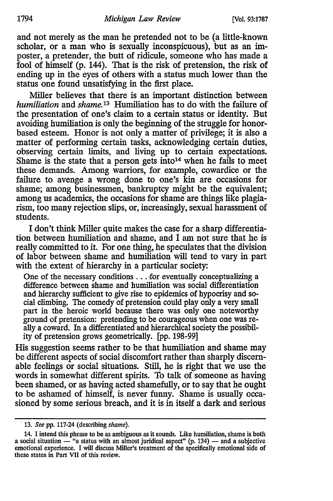and not merely as the man he pretended not to be (a little-known scholar, or a man who is sexually inconspicuous), but as an imposter, a pretender, the butt of ridicule, someone who has made a fool of himself (p. 144). That is the risk of pretension, the risk of ending up in the eyes of others with a status much lower than the status one found unsatisfying in the first place.

Miller believes that there is an important distinction between *humiliation* and *shame. 13* Humiliation has to do with the failure of the presentation of one's claim to a certain status or identity. But avoiding humiliation is only the beginning of the struggle for honorbased esteem. Honor is not only a matter of privilege; it is also a matter of performing certain tasks, acknowledging certain duties, observing certain limits, and living up to certain expectations. Shame is the state that a person gets into<sup>14</sup> when he fails to meet these demands. Among warriors, for example, cowardice or the failure to avenge a wrong done to one's kin are occasions for shame; among businessmen, bankruptcy might be the equivalent; among us academics, the occasions for shame are things like plagiarism, too many rejection slips, or, increasingly, sexual harassment of students.

I don't think Miller quite makes the case for a sharp differentiation between humiliation and shame, and *1* am not sure that he is really committed to it. For one thing, he speculates that the division of labor between shame and humiliation will tend to vary in part with the extent of hierarchy in a particular society:

One of the necessary conditions ... .for eventually conceptualizing a difference between shame and humiliation was social differentiation and hierarchy sufficient to give rise to epidemics of hypocrisy and social climbing. The comedy of pretension could play only a very small part in the heroic world because there was only one noteworthy ground of pretension: pretending to be courageous when one was really a coward. In a differentiated and hierarchical society the possibility of pretension grows geometrically. [pp. 198-99]

His suggestion seems rather to be that humiliation and shame may be different aspects of social discomfort rather than sharply discemable feelings or social situations. Still, he is right that we use the words in somewhat different spirits. To talk of someone as having been shamed, or as having acted shamefully, or to say that he ought to be ashamed of himself, is never funny. Shame is usually occasioned by some serious breach, and it is in itself a dark and serious

<sup>· 13.</sup> *See* pp. 117-24 (describing *shame).* 

<sup>14.</sup> I intend this phrase to be as ambiguous as it sounds. Like humiliation, shame is both a social situation  $-$  "a status with an almost juridical aspect"  $(p. 134)$   $-$  and a subjective emotional experience. I will discuss Miller's treatment of the specifically emotional side of these states in Part VII of this review.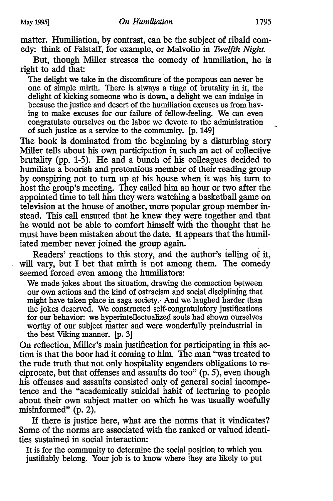matter. Humiliation, by contrast, can be the subject of ribald comedy: think of Falstaff, for example, or Malvolio in *Twelfth Night.* 

But, though Miller stresses the comedy of humiliation, he is right to add that:

The delight we take in the discomfiture of the pompous can never be one of simple mirth. There is always a tinge of brutality in it, the delight of kicking someone who is down, a delight we can indulge in because the justice and desert of the humiliation excuses us from having to make excuses for our failure of fellow-feeling. We can even congratulate ourselves on the labor we devote to the administration of such justice as a service to the community. [p. 149]

The book is dominated from the beginning by a disturbing story Miller tells about his own participation in such an act of collective brutality (pp. 1-5). He and a bunch of his colleagues decided to humiliate a boorish and pretentious member of their reading group by conspiring not to turn up at his house when it was his turn to host the group's meeting. They called him an hour or two after the appointed time to tell him they were watching a basketball game on television at the house of another, more popular group member instead. This call ensured that he knew they were together and that he would not be able to comfort himself with the thought that he must have been mistaken about the date. It appears that the humiliated member never joined the group again.

Readers' reactions to this story, and the author's telling of it, will vary, but I bet that mirth is not among them. The comedy seemed forced even among the humiliators:

We made jokes about the situation, drawing the connection between our own actions and the kind of ostracism and social disciplining that might have taken place in saga society. And we laughed harder than the jokes deserved. We constructed self-congratulatory justifications for our behavior: we hyperintellectualized souls had shown ourselves worthy of our subject matter and were wonderfully preindustrial in the best Viking manner. [p. 3]

On reflection, Miller's main justification for participating in this action is that the boor had it coming to him. The man "was treated to the rude truth that not only hospitality engenders obligations to reciprocate, but that offenses and assaults do too" (p. 5), even though his offenses and assaults consisted only of general social incompetence and the "academically suicidal habit of lecturing to people about their own subject matter on which he was usually woefully misinformed" (p. 2).

If there is justice here, what are the norms that it vindicates? Some of the norms are associated with the ranked or valued identities sustained in social interaction:

It is for the community to determine the social position to which you justifiably belong. Your job is to know where they are likely to put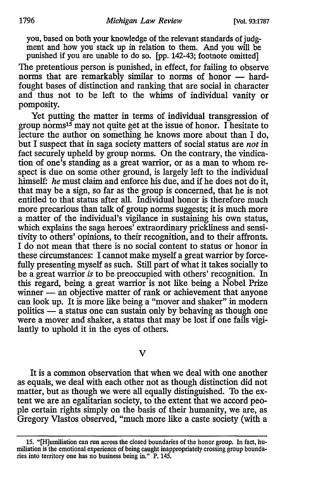you, based on both your knowledge of the relevant standards of judgment and how you stack up in relation to them. And you will be punished if you are unable to do so. [pp. 142-43; footnote omitted]

The pretentious person is punished, in effect, for failing to observe norms that are remarkably similar to norms of honor - hardfought bases of distinction and ranking that are social in character and thus not to be left to the whims of individual vanity or pomposity.

Yet putting the matter in terms of individual transgression of group norms15 may not quite get at the issue of honor. I hesitate to lecture the author on something he knows more about than I do, but I suspect that in saga society matters of social status are *not* in fact securely upheld by group norms. On the contrary, the vindication of one's standing as a great warrior, or as a man to whom respect is due on some other ground, is largely left to the individual himself: *he* must claim and enforce his due, and if he does not do it, that may be a sign, so far as the group is concerned, that he is not entitled to that status after all. Individual honor is therefore much more precarious than talk of group norms suggests; it is much more a matter of the individual's vigilance in sustaining his own status, which explains the saga heroes' extraordinary prickliness and sensitivity to others' opinions, to their recognition, and to their affronts. I do not mean that there is no social content to status or honor in these circumstances: I cannot make myself a great warrior by forcefully presenting myself as such. Still part of what it takes socially to be a great warrior *is* to be preoccupied with others' recognition. In this regard, being a great warrior is not like being a Nobel Prize winner - an objective matter of rank or achievement that anyone can look up. It is more like being a "mover and shaker" in modem politics — a status one can sustain only by behaving as though one were a mover and shaker, a status that may be lost if one fails vigilantly to uphold it in the eyes of others.

v

It is a common observation that when we deal with one another as equals, we deal with each other not as though distinction did not matter, but as though we were all equally distinguished. To the extent we are an egalitarian society, to the extent that we accord people certain rights simply on the basis of their humanity, we are, as Gregory Vlastos observed, "much more like a caste society (with a

<sup>15. &</sup>quot;[H]umiliation can run across the closed boundaries of the honor group. In fact, humiliation is the emotional experience of being caught inappropriately crossing group boundaries into territory one has no business being in." P. 145.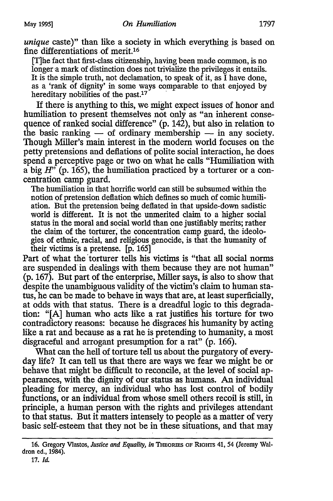*unique* caste)" than like a society in which everything is based on fine differentiations of merit.16

[T]he fact that first-class citizenship, having been made common, is no longer a mark of distinction does not trivialize the privileges it entails. It is the simple truth, not declamation, to speak of it, as  $\tilde{I}$  have done, as a 'rank of dignity' in some ways comparable to that enjoyed by hereditary nobilities of the past. $17$ 

If there is anything to this, we might expect issues of honor and humiliation to present themselves not only as "an inherent consequence of ranked social difference"  $(p. 142)$ , but also in relation to the basic ranking  $-$  of ordinary membership  $-$  in any society. Though Miller's main interest in the modem world focuses on the petty pretensions and deflations of polite social interaction, he does spend a perceptive page or two on what he calls "Humiliation with a big  $H^{\gamma}$  (p. 165), the humiliation practiced by a torturer or a concentration camp guard.

The humiliation in that horrific world can still be subsumed within the notion of pretension deflation which defines so much of comic humiliation. But the pretension being deflated in that upside-down sadistic world is different. It is not the unmerited claim to a higher social status in the moral and social world than one justifiably merits; rather the claim of the torturer, the concentration camp guard, the ideologies of ethnic, racial, and religious genocide, is that.the humanity of their victims is a pretense. [p. 165]

Part of what the torturer tells his victims is "that all social norms" are suspended in dealings with them because they are not human" (p. 167). But part of the enterprise, Miller says, is also to show that despite the unambiguous validity of the victim's claim to human status, he can be made to behave in ways that are, at least superficially, at odds with that status. There is a dreadful logic to this degradation: "[A] human who acts like a rat justifies his torture for two contradictory reasons: because he disgraces his humanity by acting like a rat and because as a rat he is pretending to humanity, a most disgraceful and arrogant presumption for a rat" (p. 166).

What can the hell of torture tell us about the purgatory of everyday life? It can tell us that there are ways we fear we might be or behave that might be difficult to reconcile, at the level of social appearances, with the dignity of our status as humans. An individual pleading for mercy, an individual who has lost control of bodily functions, or an individual from whose smell others recoil is still, in principle, a human person with the rights and privileges attendant to that status. But it matters intensely to people as a matter of very basic self-esteem that they not be in these situations, and that may

<sup>16.</sup> Gregory Vlastos, *Justice and Equality, in* THEORIES OF RIGHTS 41, 54 (Jeremy Waldron ed., 1984).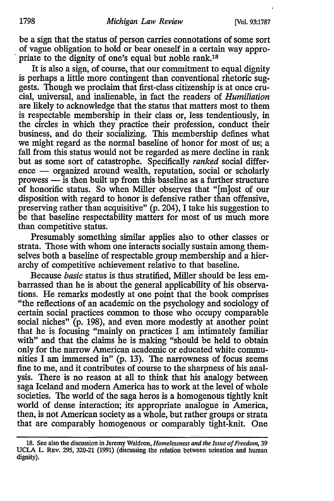be a sign that the status of person carries connotations of some sort of vague obligation to hold or bear oneself in a certain way appro-<br>priate to the dignity of one's equal but noble rank.<sup>18</sup>

It is also a sign, of course, that our commitment to equal dignity is perhaps a little more contingent than conventional rhetoric suggests. Though we proclaim that first-class citizenship is at once crucial, universal, and inalienable, in fact the readers of *Humiliation*  are likely to acknowledge that the status that matters most to them is respectable membership in their class or, less tendentiously, in the circles in which they practice their profession, conduct their business, and do their socializing. This membership defines what we might regard as the normal baseline of honor for most of us; a fall from this status would not be regarded as mere decline in rank but as some sort of catastrophe. Specifically *ranked* social differ $e^{\frac{1}{2}}$  ence  $-$  organized around wealth, reputation, social or scholarly prowess - is then built up from this baseline as a further structure of honorific status. So when Miller observes that "[m]ost of our disposition with regard to honor is defensive rather than offensive, preserving rather than acquisitive" (p. 204), I take his suggestion to be that baseline respectability matters for most of us much more than competitive status.

Presumably something similar applies also to other classes or strata. Those with whom one interacts socially sustain among themselves both a baseline of respectable group membership and a hierarchy of competitive achievement relative to that baseline.

Because *basic* status is thus stratified, Miller should be less embarrassed than he is about the general applicability of his observations. He remarks modestly at one point that the book comprises "the reflections of an academic on the psychology and sociology of certain social practices common to those who occupy comparable social niches" (p. 198), and even more modestly at another point that he is focusing "mainly on practices I am intimately familiar with" and that the claims he is making "should be held to obtain only for the narrow American academic or educated white communities I am immersed in" (p. 13). The narrowness of focus seems fine to me, and it contributes of course to the sharpness of his analysis. There is no reason at all to think that his analogy between saga Iceland and modem America has to work at the level of whole societies. The world of the saga heros is a homogenous tightly knit world of dense interaction; its appropriate analogue in America, then, is not American society as a whole, but rather groups or strata that are comparably homogenous or comparably tight-knit. One

<sup>18.</sup> See also the discussion in Jeremy Waldron, *Homelessness and the Issue of Freedom,* 39 UCLA L. REv. 295, 320-21 (1991) (discussing the relation between urination and human dignity).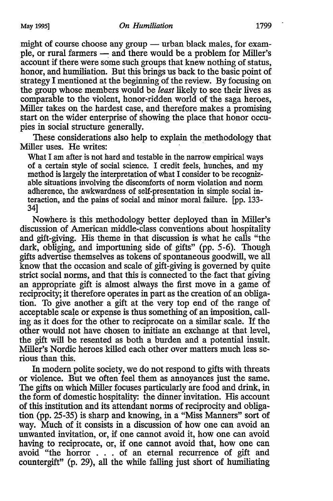might of course choose any group  $-$  urban black males, for example, or rural farmers — and there would be a problem for Miller's account if there were some such groups that knew nothing of status, honor, and humiliation. But this brings us back to the basic point of strategy I mentioned at the beginning of the review. By focusing on the group whose members would be *least* likely to see their lives as comparable to the violent, honor-ridden world of the saga heroes, Miller takes on the hardest case, and therefore makes a promising start on the wider enterprise of showing the place that honor occupies in social structure generally.

These considerations also help to explain the methodology that Miller uses. He writes:

What I am after is not hard and testable in the narrow empirical ways of a certain style of social science. I credit feels, hunches, and my method is largely the interpretation of what I consider to be recognizable situations involving the discomforts of norm violation and norm adherence, the awkwardness of self-presentation in simple social interaction, and the pains of social and minor moral failure. [pp. 133- 34]

Nowhere. is this methodology better deployed than in Miller's discussion of American middle-class conventions about hospitality and gift-giving. His theme in that discussion is what he calls "the dark, obliging, and importuning side of gifts" (pp. 5-6). Though gifts advertise themselves as tokens of spontaneous goodwill, we all know that the occasion and scale of gift-giving is governed by quite strict social norms, and that this is connected to the-fact that giving an appropriate gift is almost always the first move in a game of reciprocity; it therefore operates in part as the creation of an obligation. To give another a gift at the very top end of the range of acceptable scale or expense is thus something of an imposition, calling as it does for the other to reciprocate on a similar scale. If the other would not have chosen to initiate an exchange at that level, the gift will be resented as both a burden and a potential insult. Miller's Nordic heroes killed each other over matters much less serious than this.

In modem polite society, we do not respond to gifts with threats or violence. But we often feel them as annoyances just the same. The gifts on which Miller focuses particularly are food and drink, in the form of domestic hospitality: the dinner invitation. His account of this institution and its attendant norms of reciprocity and obliga· tion (pp. 25-35) is sharp and knowing, in a "Miss Manners" sort of way. Much of it consists in a discussion of how one can avoid an unwanted invitation, or, if one cannot avoid it, how one can avoid having to reciprocate, or, if one cannot avoid that, how one can avoid "the horror . . . of an eternal recurrence of gift and countergift" (p. 29), all the while falling just short of humiliating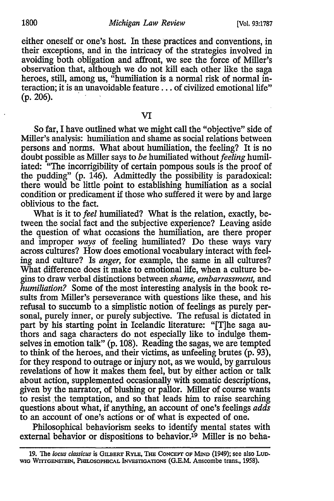either oneself or one's host. In these practices and conventions, in their exceptions, and in the intricacy of the strategies involved in avoiding both obligation and affront, we see the force of Miller's observation that, although we do not kill each other like the saga heroes, still, among us, "humiliation is a normal risk of normal interaction; it is an unavoidable feature ... of civilized emotional life" (p. 206). '

VI

So far, I have outlined what we might call the "objective" side of Miller's analysis: humiliation and shame as social relations between persons and norms. What about humiliation, the feeling? It is no doubt possible as Miller says to *be* humiliated without *feeling* humiliated: "The incorrigibility of certain pompous souls is the proof of the pudding" (p. 146). Admittedly the possibility is paradoxical: there would be little point to establishing humiliation as a social condition or predicament if those who suffered it were by and large oblivious to the fact.

What is it to *feel* humiliated? What is the relation, exactly, between the social fact and the subjective experience? Leaving aside the question of what occasions the humiliation, are there proper and improper *ways* of feeling humiliated? Do these ways vary across cultures? How does emotional vocabulary interact with feeling and culture? Is *anger,* for example, the same in all cultures? What difference does it make to emotional life, when a culture begins to draw verbal distinctions between *shame, embarrassment,* and *humiliation?* Some of the most interesting analysis in the book results from Miller's perseverance with questions like these, and his refusal to succumb to a simplistic notion of feelings as purely personal, purely inner, or purely subjective. The refusal is dictated in part by his starting point in Icelandic literature: "[T]he saga authors and saga characters do not especially like to indulge themselves in emotion talk" (p. 108). Reading the sagas, we are tempted to think of the heroes, and their victims, as unfeeling brutes (p. 93), for they respond to outrage or injury not, as we would, by garrulous revelations of how it makes them feel, but by either action or talk about action, supplemented occasionally with somatic descriptions, given by the narrator, of blushing or pallor. Miller of course wants to resist the temptation, and so that leads him to raise searching questions about what, if anything, an account of one's feelings *adds*  to an account of one's actions or of what is expected of one.

Philosophical behaviorism seeks to identify mental states with external behavior or dispositions to behavior.<sup>19</sup> Miller is no beha-

<sup>19.</sup> The *locus classicus* is GILBERT RYLE, THE CoNCEPT OF MIND (1949); see also Luo. WIG WITTGENSTEIN, PHILOSOPHICAL INVESTIGATIONS (G.E.M. Anscombe trans., 1958).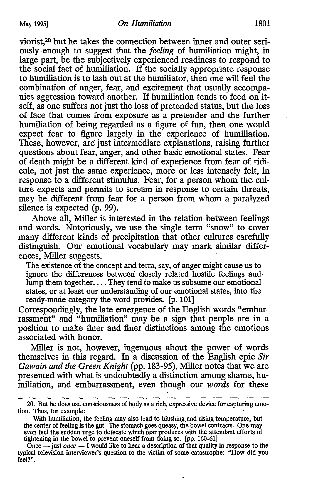viorist,20 but he takes the connection between inner and outer seriously. enough to suggest that the *feeling* of humiliation might, in large part, be the subjectively experienced readiness to respond to the social fact of humiliation. If the socially appropriate response to humiliation is to lash out at the humiliator, then one will feel the combination of anger, fear, and excitement that usually accompanies aggression toward another. If humiliation tends to feed on *it*self, as one suffers not just the loss of pretended status, but the loss of face that comes from exposure as· a pretender and the further humiliation of being regarded as a figure of fun, then one would expect fear to figure largely in the experience of humiliation. These, however, are just intermediate explanations, raising further questions about fear, anger, and other basic emotional states. Fear of death might be a different kind of experience from fear of ridicule, not just the same experience, more or less intensely felt, in response to a different stimulus. Fear, for a person whom the culture expects and permits to scream in response to certain threats, may be different from fear for a person from whom a paralyzed silence is expected (p. 99).

Above all, Miller is interested in the relation between feelings and words. Notoriously, we use the single term "snow" to cover many different kinds of precipitation that other cultures carefully distinguish. Our emotional vocabulary may mark similar differences, Miller suggests.

The existence of the concept and term, say, of anger might cause us to ignore the differences between closely related hostile feelings and· lump them together.... They tend to make us subsume our emotional states, or at least our understanding of our emotional states, into the ready-made category the word provides. [p. 101]

Correspondingly, the late emergence of the English words "embarrassment" and "humiliation" may be a sign that people are in a position to make finer and finer distinctions among the emotions associated with honor.

Miller is not, however, ingenuous about the power of words themselves in this regard. In a discussion of the English epic *Sir Gawain and the Green Knight* (pp. 183-95), Miller notes that we are presented with what is undoubtedly a distinction among shame, humiliation, and embarrassment, even though our *words* for these

<sup>20.</sup> But he does use consciousness of body as a rich, expressive device for capturing emo-<br>tion. Thus, for example:

With humiliation, the feeling may also lead to blushing and rising temperature, but the center of feeling is the gut. The stomach goes queasy, the bowel contracts. One may even feel the sudden urge to defecate which fear produces with the attendant efforts of tightening in the bowel to prevent oneself from doing so. [pp. 160-61]

 $\overline{O}$ nce  $\overline{-}$  just *once*  $\overline{-}$  I would like to hear a description of that quality in response to the typical television interviewer's question to the victim of some catastrophe: "How did you feel?".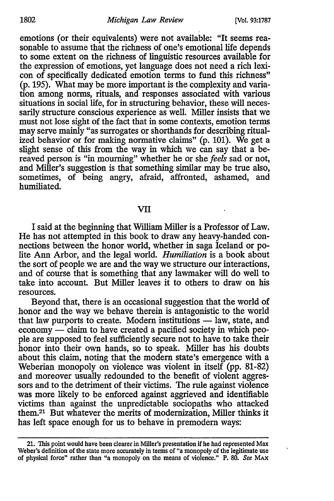#### 1802 *Michigan Law Review* [Vol. 93:1787

emotions (or their equivalents) were not available: "It seems reasonable to assume that the richness of one's emotional life depends to some extent on the richness of linguistic resources available for the expression of emotions, yet language does not need a rich lexicon of specifically dedicated emotion terms to fund this richness" (p. 195). What may be more important is the complexity and variation among norms, rituals, and responses associated with various situations in social life, for in structuring behavior, these will necessarily structure conscious experience as well. Miller insists that we must not lose sight of the fact that in some contexts, emotion terms may serve mainly "as surrogates or shorthands for describing ritualized behavior or for making normative claims" (p. 101). We get a slight sense of this from the way in which we can say that a bereaved person is "in mourning" whether he or she *feels* sad or not, and Miller's suggestion is that something similar may be true also, sometimes, of being angry, afraid, affronted, ashamed, and humiliated.

#### VII

I said at the beginning that William Miller is a Professor of Law. He has not attempted in this book to draw any heavy-handed connections between the honor world, whether in saga Iceland or polite Ann Arbor, and the legal world. *Humiliation* is a book about the sort of people we are and the way we structure our interactions, and of course that is something that any lawmaker will do well to take into account. But Miller leaves it to others to draw on his resources.

Beyond that, there is an occasional suggestion that the world of honor and the way we behave therein is antagonistic to the world that law purports to create. Modern institutions — law, state, and economy — claim to have created a pacified society in which people are supposed to feel sufficiently secure not to have to take their honor into their own hands, so to speak. Miller has his doubts about this claim, noting that the modem state's emergence with a Weberian monopoly on violence was violent in itself (pp. 81-82) and moreover usually redounded to the benefit of violent aggressors and to the detriment of their victims. The rule against violence was more likely to be enforced against aggrieved and identifiable victims than against the unpredictable sociopaths who attacked them.21 But whatever the merits of modernization, Miller thinks it has left space enough for us to behave in premodem ways:

<sup>21.</sup> This point would have been clearer in Miller's presentation if he had represented Max Weber's definition of the state more accurately in terms of "a monopoly of the legitimate use of physical force" rather than "a monopoly on the means of violence." P. 80. See MAx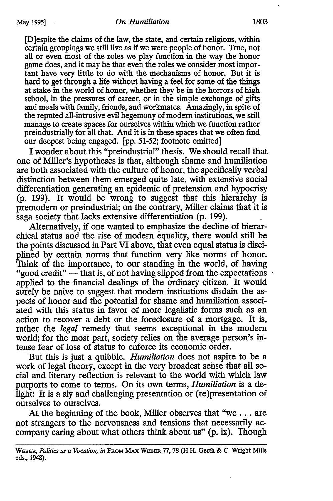[D]espite the claims of the law, the state, and certain religions, within certain groupings we still live as if we were people of honor. True, not all or even most of the roles we play function in the way the honor game does, and it may be that even the roles we consider most important have very little to do with the mechanisms of honor. But it is hard to get through a life without having a feel for some of the things at stake in the world of honor, whether they be in the horrors of high school, in the pressures of career, or in the simple exchange of gifts and meals with family, friends, and workmates. Amazingly, in spite of the reputed all-intrusive evil hegemony of modem institutions~ we still manage to create spaces for ourselves within which we function rather preindustrially for all that. And it is in these spaces that we often find our deepest being engaged. [pp. 51-52; footnote omitted]

I wonder about this "preindustrial" thesis. We should recall that one of Miller's hypotheses is that, although shame and humiliation are both associated with the culture of honor, the specifically verbal distinction between them emerged quite late, with extensive social differentiation generating an epidemic of pretension and hypocrisy (p. 199). It would be wrong to suggest that this hierarchy is premodem or preindustrial; on the contrary, Miller claims that it is saga society that lacks extensive differentiation (p. 199).

Alternatively, if one wanted to emphasize the decline of hierarchical status and the rise of modem equality, there would still be the points discussed in Part VI above, that even equal status is disciplined by certain norms that function very like norms of honor. Think of the importance, to our standing in the world, of having "good credit"  $\overline{\phantom{a}}$  that is, of not having slipped from the expectations applied to the financial dealings of the ordinary citizen. It would surely be naive to suggest that modern institutions disdain the aspects of honor and the potential for shame and humiliation associated with this status in favor of more legalistic forms such as an action to recover a debt or the foreclosure of a mortgage. It is, rather the *legal* remedy that seems exceptional in the modern world; for the most part, society relies on the average person's intense fear of loss of status to enforce its economic order.

But this is just a quibble. *Humiliation* does not aspire to be a work of legal theory, except in the very broadest sense that all social and literary reflection is relevant to the world with which law purports to come to terms. On its own terms, *Humiliation* is a delight: It is a sly and challenging presentation or (re)presentation of ourselves to ourselves.

At the beginning of the book, Miller observes that "we ... are not strangers to the nervousness and tensions that necessarily accompany caring about what others think about us" (p. ix). Though

WEBER, *Politics as a Vocation, in* FROM MAx WEBER 77, 78 (H.H. Gerth & C. Wright Mills eds., 1948).